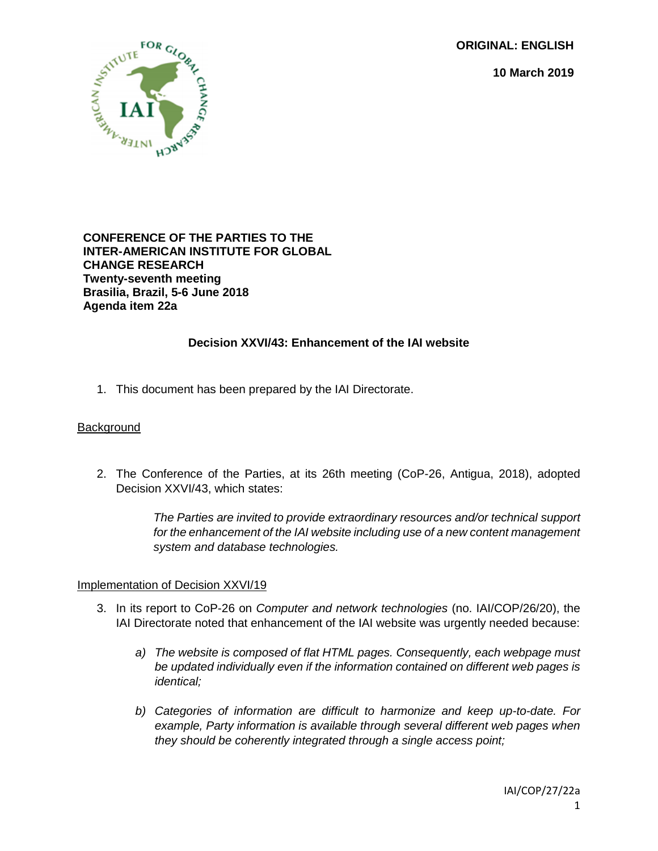**ORIGINAL: ENGLISH**

**10 March 2019**



### **CONFERENCE OF THE PARTIES TO THE INTER-AMERICAN INSTITUTE FOR GLOBAL CHANGE RESEARCH Twenty-seventh meeting Brasilia, Brazil, 5-6 June 2018 Agenda item 22a**

# **Decision XXVI/43: Enhancement of the IAI website**

1. This document has been prepared by the IAI Directorate.

### **Background**

2. The Conference of the Parties, at its 26th meeting (CoP-26, Antigua, 2018), adopted Decision XXVI/43, which states:

> *The Parties are invited to provide extraordinary resources and/or technical support for the enhancement of the IAI website including use of a new content management system and database technologies.*

## Implementation of Decision XXVI/19

- 3. In its report to CoP-26 on *Computer and network technologies* (no. IAI/COP/26/20), the IAI Directorate noted that enhancement of the IAI website was urgently needed because:
	- *a) The website is composed of flat HTML pages. Consequently, each webpage must be updated individually even if the information contained on different web pages is identical;*
	- *b) Categories of information are difficult to harmonize and keep up-to-date. For example, Party information is available through several different web pages when they should be coherently integrated through a single access point;*